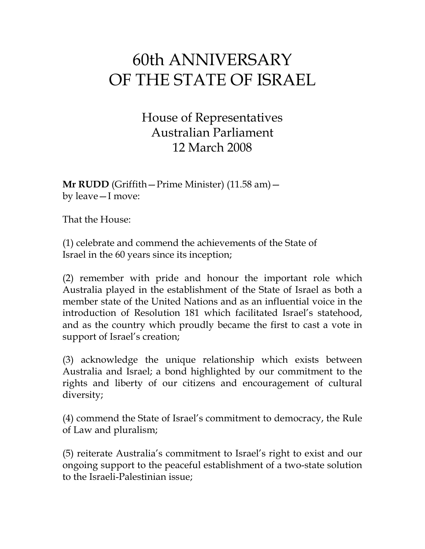## 60th ANNIVERSARY OF THE STATE OF ISRAEL

House of Representatives Australian Parliament 12 March 2008

**Mr RUDD** (Griffith—Prime Minister) (11.58 am) by leave—I move:

That the House:

(1) celebrate and commend the achievements of the State of Israel in the 60 years since its inception;

(2) remember with pride and honour the important role which Australia played in the establishment of the State of Israel as both a member state of the United Nations and as an influential voice in the introduction of Resolution 181 which facilitated Israel's statehood, and as the country which proudly became the first to cast a vote in support of Israel's creation;

(3) acknowledge the unique relationship which exists between Australia and Israel; a bond highlighted by our commitment to the rights and liberty of our citizens and encouragement of cultural diversity;

(4) commend the State of Israel's commitment to democracy, the Rule of Law and pluralism;

(5) reiterate Australia's commitment to Israel's right to exist and our ongoing support to the peaceful establishment of a two-state solution to the Israeli-Palestinian issue;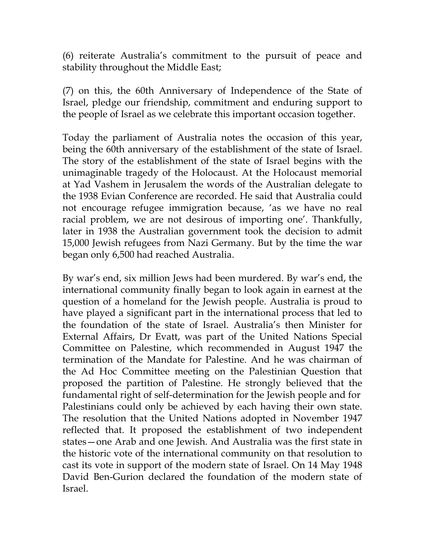(6) reiterate Australia's commitment to the pursuit of peace and stability throughout the Middle East;

(7) on this, the 60th Anniversary of Independence of the State of Israel, pledge our friendship, commitment and enduring support to the people of Israel as we celebrate this important occasion together.

Today the parliament of Australia notes the occasion of this year, being the 60th anniversary of the establishment of the state of Israel. The story of the establishment of the state of Israel begins with the unimaginable tragedy of the Holocaust. At the Holocaust memorial at Yad Vashem in Jerusalem the words of the Australian delegate to the 1938 Evian Conference are recorded. He said that Australia could not encourage refugee immigration because, 'as we have no real racial problem, we are not desirous of importing one'. Thankfully, later in 1938 the Australian government took the decision to admit 15,000 Jewish refugees from Nazi Germany. But by the time the war began only 6,500 had reached Australia.

By war's end, six million Jews had been murdered. By war's end, the international community finally began to look again in earnest at the question of a homeland for the Jewish people. Australia is proud to have played a significant part in the international process that led to the foundation of the state of Israel. Australia's then Minister for External Affairs, Dr Evatt, was part of the United Nations Special Committee on Palestine, which recommended in August 1947 the termination of the Mandate for Palestine. And he was chairman of the Ad Hoc Committee meeting on the Palestinian Question that proposed the partition of Palestine. He strongly believed that the fundamental right of self-determination for the Jewish people and for Palestinians could only be achieved by each having their own state. The resolution that the United Nations adopted in November 1947 reflected that. It proposed the establishment of two independent states—one Arab and one Jewish. And Australia was the first state in the historic vote of the international community on that resolution to cast its vote in support of the modern state of Israel. On 14 May 1948 David Ben-Gurion declared the foundation of the modern state of Israel.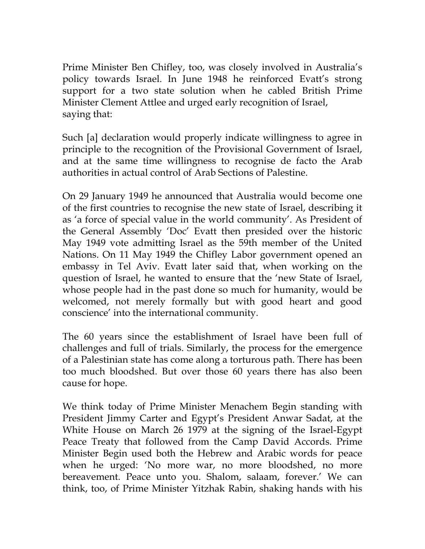Prime Minister Ben Chifley, too, was closely involved in Australia's policy towards Israel. In June 1948 he reinforced Evatt's strong support for a two state solution when he cabled British Prime Minister Clement Attlee and urged early recognition of Israel, saying that:

Such [a] declaration would properly indicate willingness to agree in principle to the recognition of the Provisional Government of Israel, and at the same time willingness to recognise de facto the Arab authorities in actual control of Arab Sections of Palestine.

On 29 January 1949 he announced that Australia would become one of the first countries to recognise the new state of Israel, describing it as 'a force of special value in the world community'. As President of the General Assembly 'Doc' Evatt then presided over the historic May 1949 vote admitting Israel as the 59th member of the United Nations. On 11 May 1949 the Chifley Labor government opened an embassy in Tel Aviv. Evatt later said that, when working on the question of Israel, he wanted to ensure that the 'new State of Israel, whose people had in the past done so much for humanity, would be welcomed, not merely formally but with good heart and good conscience' into the international community.

The 60 years since the establishment of Israel have been full of challenges and full of trials. Similarly, the process for the emergence of a Palestinian state has come along a torturous path. There has been too much bloodshed. But over those 60 years there has also been cause for hope.

We think today of Prime Minister Menachem Begin standing with President Jimmy Carter and Egypt's President Anwar Sadat, at the White House on March 26 1979 at the signing of the Israel-Egypt Peace Treaty that followed from the Camp David Accords. Prime Minister Begin used both the Hebrew and Arabic words for peace when he urged: 'No more war, no more bloodshed, no more bereavement. Peace unto you. Shalom, salaam, forever.' We can think, too, of Prime Minister Yitzhak Rabin, shaking hands with his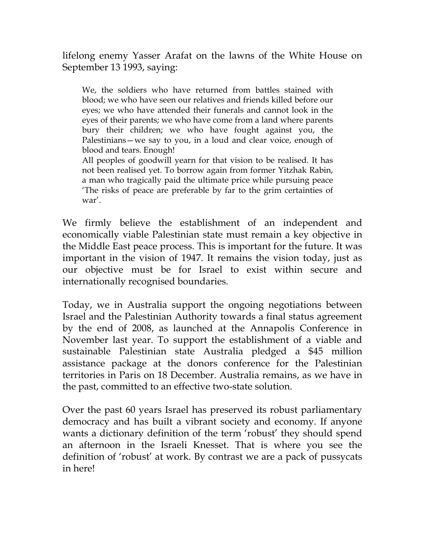lifelong enemy Yasser Arafat on the lawns of the White House on September 13 1993, saying:

We, the soldiers who have returned from battles stained with blood; we who have seen our relatives and friends killed before our eyes; we who have attended their funerals and cannot look in the eyes of their parents; we who have come from a land where parents bury their children; we who have fought against you, the Palestinians—we say to you, in a loud and clear voice, enough of blood and tears. Enough!

All peoples of goodwill yearn for that vision to be realised. It has not been realised yet. To borrow again from former Yitzhak Rabin, a man who tragically paid the ultimate price while pursuing peace 'The risks of peace are preferable by far to the grim certainties of war'.

We firmly believe the establishment of an independent and economically viable Palestinian state must remain a key objective in the Middle East peace process. This is important for the future. It was important in the vision of 1947. It remains the vision today, just as our objective must be for Israel to exist within secure and internationally recognised boundaries.

Today, we in Australia support the ongoing negotiations between Israel and the Palestinian Authority towards a final status agreement by the end of 2008, as launched at the Annapolis Conference in November last year. To support the establishment of a viable and sustainable Palestinian state Australia pledged a \$45 million assistance package at the donors conference for the Palestinian territories in Paris on 18 December. Australia remains, as we have in the past, committed to an effective two-state solution.

Over the past 60 years Israel has preserved its robust parliamentary democracy and has built a vibrant society and economy. If anyone wants a dictionary definition of the term 'robust' they should spend an afternoon in the Israeli Knesset. That is where you see the definition of 'robust' at work. By contrast we are a pack of pussycats in here!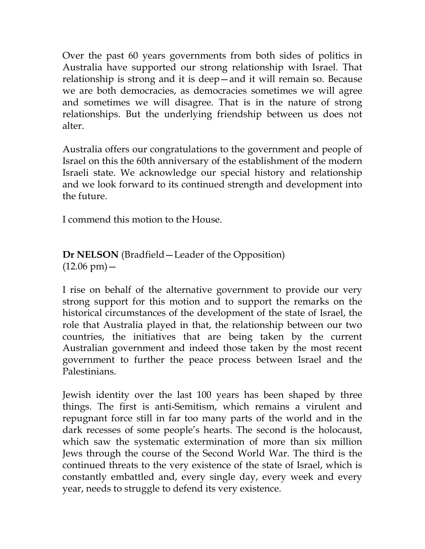Over the past 60 years governments from both sides of politics in Australia have supported our strong relationship with Israel. That relationship is strong and it is deep—and it will remain so. Because we are both democracies, as democracies sometimes we will agree and sometimes we will disagree. That is in the nature of strong relationships. But the underlying friendship between us does not alter.

Australia offers our congratulations to the government and people of Israel on this the 60th anniversary of the establishment of the modern Israeli state. We acknowledge our special history and relationship and we look forward to its continued strength and development into the future.

I commend this motion to the House.

**Dr NELSON** (Bradfield—Leader of the Opposition)  $(12.06 \text{ pm}) -$ 

I rise on behalf of the alternative government to provide our very strong support for this motion and to support the remarks on the historical circumstances of the development of the state of Israel, the role that Australia played in that, the relationship between our two countries, the initiatives that are being taken by the current Australian government and indeed those taken by the most recent government to further the peace process between Israel and the Palestinians.

Jewish identity over the last 100 years has been shaped by three things. The first is anti-Semitism, which remains a virulent and repugnant force still in far too many parts of the world and in the dark recesses of some people's hearts. The second is the holocaust, which saw the systematic extermination of more than six million Jews through the course of the Second World War. The third is the continued threats to the very existence of the state of Israel, which is constantly embattled and, every single day, every week and every year, needs to struggle to defend its very existence.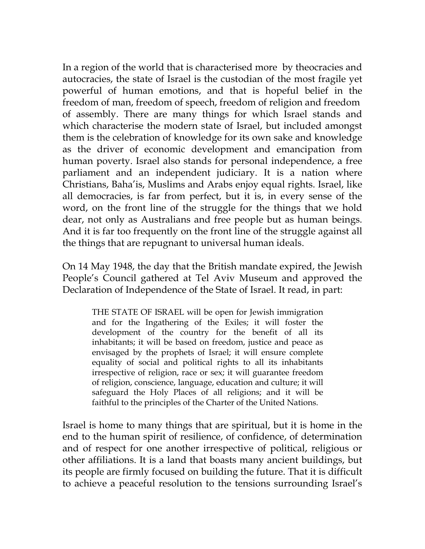In a region of the world that is characterised more by theocracies and autocracies, the state of Israel is the custodian of the most fragile yet powerful of human emotions, and that is hopeful belief in the freedom of man, freedom of speech, freedom of religion and freedom of assembly. There are many things for which Israel stands and which characterise the modern state of Israel, but included amongst them is the celebration of knowledge for its own sake and knowledge as the driver of economic development and emancipation from human poverty. Israel also stands for personal independence, a free parliament and an independent judiciary. It is a nation where Christians, Baha'is, Muslims and Arabs enjoy equal rights. Israel, like all democracies, is far from perfect, but it is, in every sense of the word, on the front line of the struggle for the things that we hold dear, not only as Australians and free people but as human beings. And it is far too frequently on the front line of the struggle against all the things that are repugnant to universal human ideals.

On 14 May 1948, the day that the British mandate expired, the Jewish People's Council gathered at Tel Aviv Museum and approved the Declaration of Independence of the State of Israel. It read, in part:

THE STATE OF ISRAEL will be open for Jewish immigration and for the Ingathering of the Exiles; it will foster the development of the country for the benefit of all its inhabitants; it will be based on freedom, justice and peace as envisaged by the prophets of Israel; it will ensure complete equality of social and political rights to all its inhabitants irrespective of religion, race or sex; it will guarantee freedom of religion, conscience, language, education and culture; it will safeguard the Holy Places of all religions; and it will be faithful to the principles of the Charter of the United Nations.

Israel is home to many things that are spiritual, but it is home in the end to the human spirit of resilience, of confidence, of determination and of respect for one another irrespective of political, religious or other affiliations. It is a land that boasts many ancient buildings, but its people are firmly focused on building the future. That it is difficult to achieve a peaceful resolution to the tensions surrounding Israel's